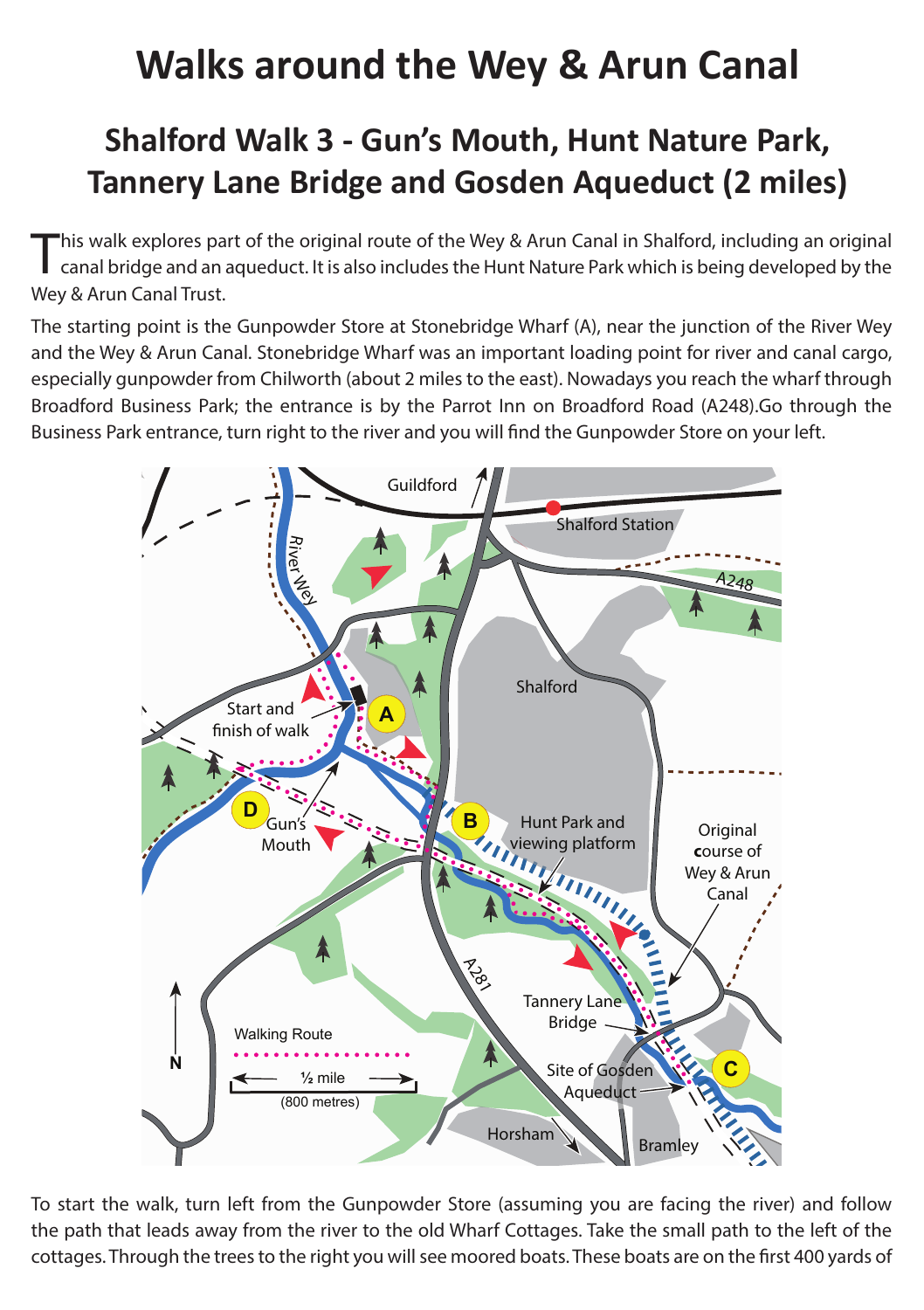## **Walks around the Wey & Arun Canal**

## **Shalford Walk 3 - Gun's Mouth, Hunt Nature Park, Tannery Lane Bridge and Gosden Aqueduct (2 miles)**

This walk explores part of the original route of the Wey & Arun Canal in Shalford, including an original canal bridge and an aqueduct. It is also includes the Hunt Nature Park which is being developed by the Wey & Arun Canal Trust.

The starting point is the Gunpowder Store at Stonebridge Wharf (A), near the junction of the River Wey and the Wey & Arun Canal. Stonebridge Wharf was an important loading point for river and canal cargo, especially gunpowder from Chilworth (about 2 miles to the east). Nowadays you reach the wharf through Broadford Business Park; the entrance is by the Parrot Inn on Broadford Road (A248).Go through the Business Park entrance, turn right to the river and you will find the Gunpowder Store on your left.



To start the walk, turn left from the Gunpowder Store (assuming you are facing the river) and follow the path that leads away from the river to the old Wharf Cottages. Take the small path to the left of the cottages. Through the trees to the right you will see moored boats. These boats are on the first 400 yards of